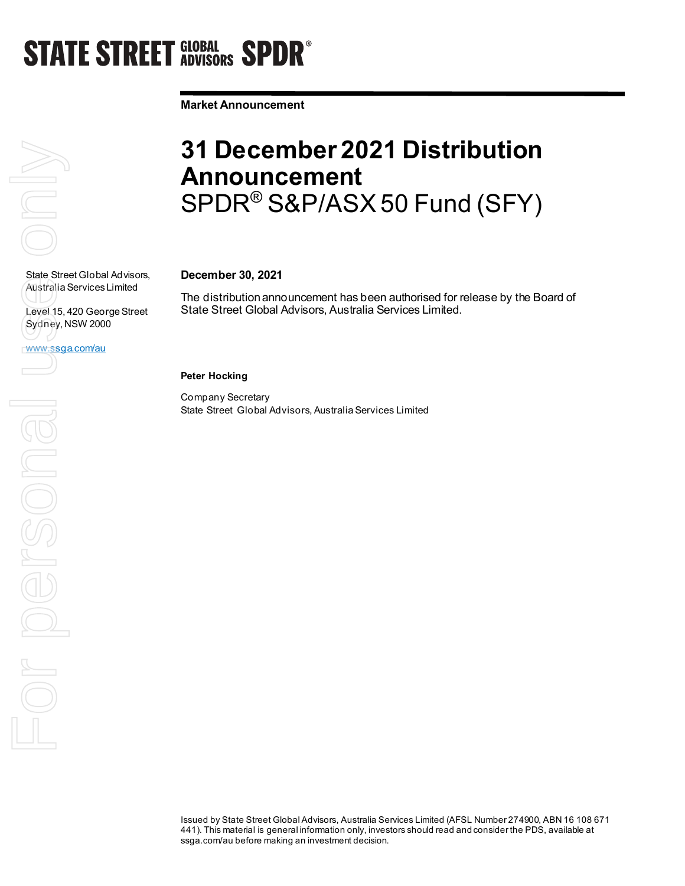# **STATE STREET GLOBAL SPDR<sup>®</sup>**

**Market Announcement**

# $\overline{\bigcap}$ State Street Global Advisors,

Australia Services Limited

Sydney, NSW 2000

www.ssga.com/au

Level 15, 420 George Street

### **31 December 2021 Distribution Announcement**  SPDR® S&P/ASX 50 Fund (SFY)

#### **December 30, 2021**

The distribution announcement has been authorised for release by the Board of State Street Global Advisors, Australia Services Limited.

**Peter Hocking**

Company Secretary State Street Global Advisors, Australia Services Limited

State Street Globa<br>Australia Services<br>Level 15, 420 Geo<br>WWW.Ssga.com/au<br>Decoration For personal

#### Issued by State Street Global Advisors, Australia Services Limited (AFSL Number 274900, ABN 16 108 671 441). This material is general information only, investors should read and consider the PDS, available at ssga.com/au before making an investment decision.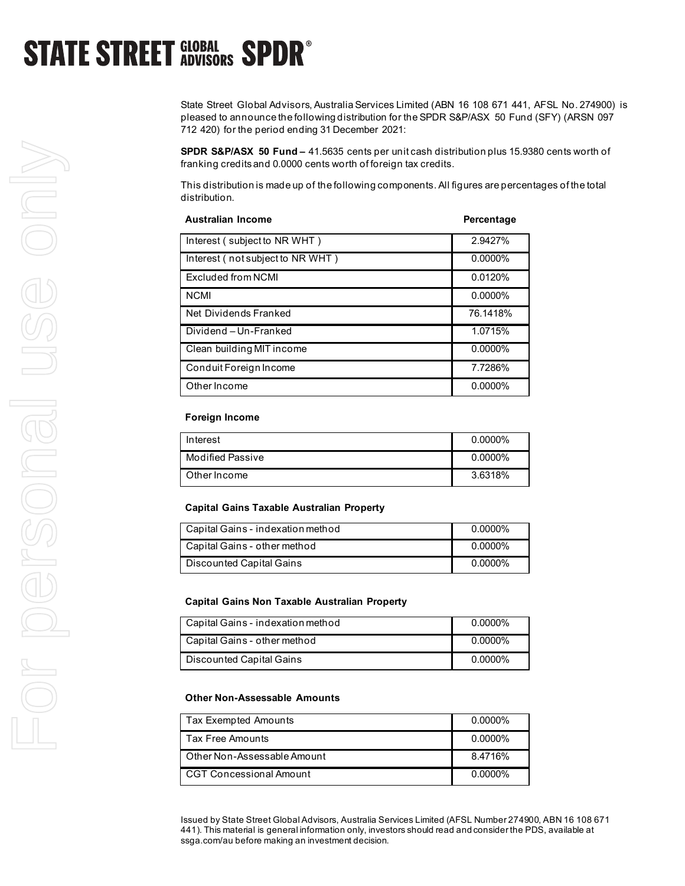# **STATE STREET GLOBAL SPDR<sup>®</sup>**

State Street Global Advisors, Australia Services Limited (ABN 16 108 671 441, AFSL No. 274900) is pleased to announce the following distribution for the SPDR S&P/ASX 50 Fund (SFY) (ARSN 097 712 420) for the period ending 31 December 2021:

**SPDR S&P/ASX 50 Fund –** 41.5635 cents per unit cash distribution plus 15.9380 cents worth of franking credits and 0.0000 cents worth of foreign tax credits.

This distribution is made up of the following components. All figures are percentages of the total distribution.

| <b>Australian Income</b>         | Percentage |
|----------------------------------|------------|
| Interest (subject to NR WHT)     | 2.9427%    |
| Interest (not subject to NR WHT) | $0.0000\%$ |
| Excluded from NCMI               | 0.0120%    |
| <b>NCMI</b>                      | $0.0000\%$ |
| Net Dividends Franked            | 76.1418%   |
| Dividend-Un-Franked              | 1.0715%    |
| Clean building MIT income        | $0.0000\%$ |
| Conduit Foreign Income           | 7.7286%    |
| Other Income                     | 0.0000%    |

#### **Foreign Income**

| Interest         | $0.0000\%$ |
|------------------|------------|
| Modified Passive | $0.0000\%$ |
| Other Income     | 3.6318%    |

#### **Capital Gains Taxable Australian Property**

| Capital Gains - indexation method | 0.0000% |
|-----------------------------------|---------|
| Capital Gains - other method      | 0.0000% |
| Discounted Capital Gains          | 0.0000% |

#### **Capital Gains Non Taxable Australian Property**

| Capital Gains - indexation method | $0.0000\%$ |
|-----------------------------------|------------|
| Capital Gains - other method      | $0.0000\%$ |
| Discounted Capital Gains          | $0.0000\%$ |

#### **Other Non-Assessable Amounts**

| <b>Tax Exempted Amounts</b>    | $0.0000\%$ |
|--------------------------------|------------|
| <b>Tax Free Amounts</b>        | $0.0000\%$ |
| Other Non-Assessable Amount    | 8.4716%    |
| <b>CGT Concessional Amount</b> | $0.0000\%$ |

Issued by State Street Global Advisors, Australia Services Limited (AFSL Number 274900, ABN 16 108 671 441). This material is general information only, investors should read and consider the PDS, available at ssga.com/au before making an investment decision.